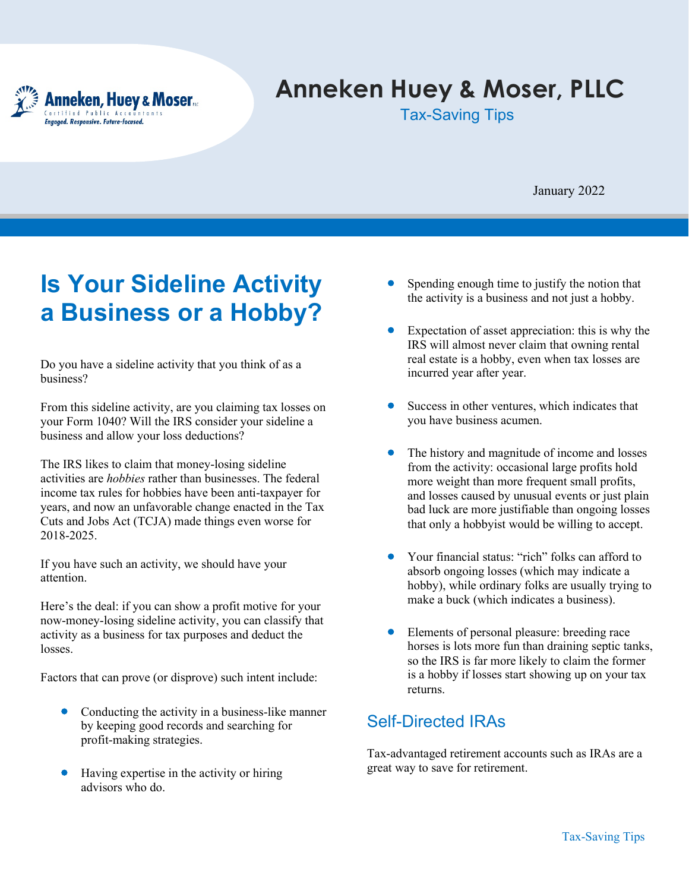

# **Anneken Huey & Moser, PLLC**

Tax-Saving Tips

January 2022

## **Is Your Sideline Activity a Business or a Hobby?**

Do you have a sideline activity that you think of as a business?

From this sideline activity, are you claiming tax losses on your Form 1040? Will the IRS consider your sideline a business and allow your loss deductions?

The IRS likes to claim that money-losing sideline activities are *hobbies* rather than businesses. The federal income tax rules for hobbies have been anti-taxpayer for years, and now an unfavorable change enacted in the Tax Cuts and Jobs Act (TCJA) made things even worse for 2018-2025.

If you have such an activity, we should have your attention.

Here's the deal: if you can show a profit motive for your now-money-losing sideline activity, you can classify that activity as a business for tax purposes and deduct the losses.

Factors that can prove (or disprove) such intent include:

- Conducting the activity in a business-like manner by keeping good records and searching for profit-making strategies.
- Having expertise in the activity or hiring advisors who do.
- Spending enough time to justify the notion that the activity is a business and not just a hobby.
- Expectation of asset appreciation: this is why the IRS will almost never claim that owning rental real estate is a hobby, even when tax losses are incurred year after year.
- Success in other ventures, which indicates that you have business acumen.
- The history and magnitude of income and losses from the activity: occasional large profits hold more weight than more frequent small profits, and losses caused by unusual events or just plain bad luck are more justifiable than ongoing losses that only a hobbyist would be willing to accept.
- Your financial status: "rich" folks can afford to absorb ongoing losses (which may indicate a hobby), while ordinary folks are usually trying to make a buck (which indicates a business).
- Elements of personal pleasure: breeding race horses is lots more fun than draining septic tanks, so the IRS is far more likely to claim the former is a hobby if losses start showing up on your tax returns.

#### Self-Directed IRAs

Tax-advantaged retirement accounts such as IRAs are a great way to save for retirement.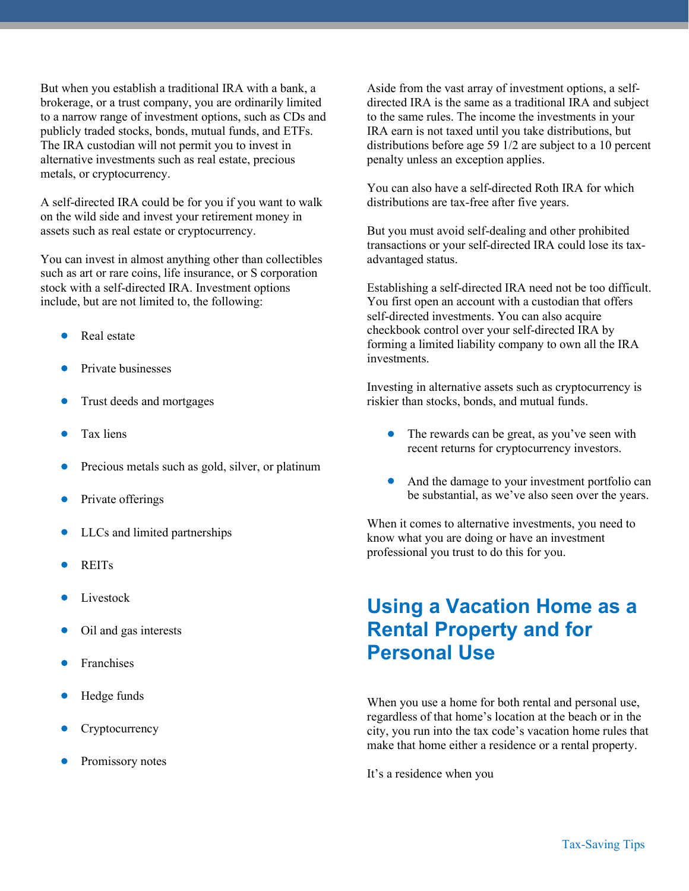But when you establish a traditional IRA with a bank, a brokerage, or a trust company, you are ordinarily limited to a narrow range of investment options, such as CDs and publicly traded stocks, bonds, mutual funds, and ETFs. The IRA custodian will not permit you to invest in alternative investments such as real estate, precious metals, or cryptocurrency.

A self-directed IRA could be for you if you want to walk on the wild side and invest your retirement money in assets such as real estate or cryptocurrency.

You can invest in almost anything other than collectibles such as art or rare coins, life insurance, or S corporation stock with a self-directed IRA. Investment options include, but are not limited to, the following:

- Real estate
- Private businesses
- Trust deeds and mortgages
- Tax liens
- Precious metals such as gold, silver, or platinum
- Private offerings
- LLCs and limited partnerships
- REITs
- Livestock
- Oil and gas interests
- **Franchises**
- Hedge funds
- **Cryptocurrency**
- Promissory notes

Aside from the vast array of investment options, a selfdirected IRA is the same as a traditional IRA and subject to the same rules. The income the investments in your IRA earn is not taxed until you take distributions, but distributions before age 59 1/2 are subject to a 10 percent penalty unless an exception applies.

You can also have a self-directed Roth IRA for which distributions are tax-free after five years.

But you must avoid self-dealing and other prohibited transactions or your self-directed IRA could lose its taxadvantaged status.

Establishing a self-directed IRA need not be too difficult. You first open an account with a custodian that offers self-directed investments. You can also acquire checkbook control over your self-directed IRA by forming a limited liability company to own all the IRA investments.

Investing in alternative assets such as cryptocurrency is riskier than stocks, bonds, and mutual funds.

- The rewards can be great, as you've seen with recent returns for cryptocurrency investors.
- And the damage to your investment portfolio can be substantial, as we've also seen over the years.

When it comes to alternative investments, you need to know what you are doing or have an investment professional you trust to do this for you.

### **Using a Vacation Home as a Rental Property and for Personal Use**

When you use a home for both rental and personal use, regardless of that home's location at the beach or in the city, you run into the tax code's vacation home rules that make that home either a residence or a rental property.

It's a residence when you